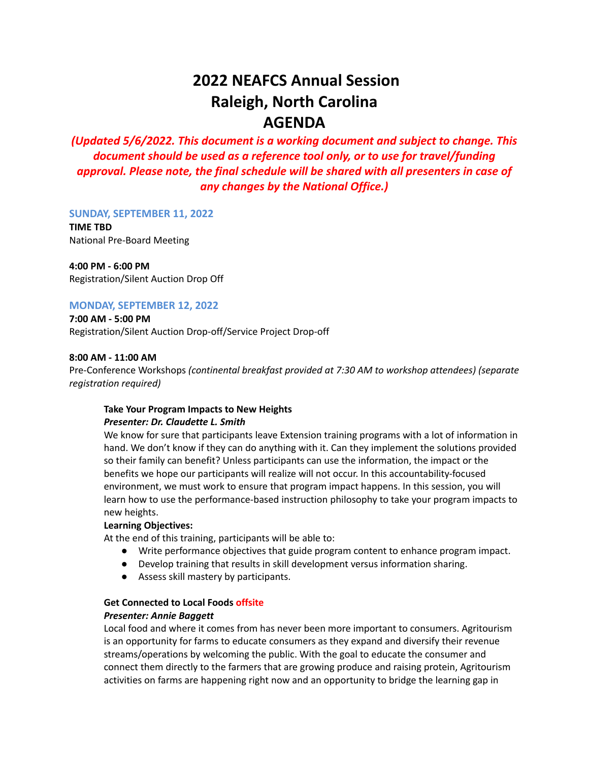# **2022 NEAFCS Annual Session Raleigh, North Carolina AGENDA**

*(Updated 5/6/2022. This document is a working document and subject to change. This document should be used as a reference tool only, or to use for travel/funding approval. Please note, the final schedule will be shared with all presenters in case of any changes by the National Office.)*

#### **SUNDAY, SEPTEMBER 11, 2022**

**TIME TBD** National Pre-Board Meeting

**4:00 PM - 6:00 PM** Registration/Silent Auction Drop Off

## **MONDAY, SEPTEMBER 12, 2022**

**7:00 AM - 5:00 PM** Registration/Silent Auction Drop-off/Service Project Drop-off

#### **8:00 AM - 11:00 AM**

Pre-Conference Workshops *(continental breakfast provided at 7:30 AM to workshop attendees) (separate registration required)*

## **Take Your Program Impacts to New Heights**

#### *Presenter: Dr. Claudette L. Smith*

We know for sure that participants leave Extension training programs with a lot of information in hand. We don't know if they can do anything with it. Can they implement the solutions provided so their family can benefit? Unless participants can use the information, the impact or the benefits we hope our participants will realize will not occur. In this accountability-focused environment, we must work to ensure that program impact happens. In this session, you will learn how to use the performance-based instruction philosophy to take your program impacts to new heights.

## **Learning Objectives:**

At the end of this training, participants will be able to:

- Write performance objectives that guide program content to enhance program impact.
- Develop training that results in skill development versus information sharing.
- Assess skill mastery by participants.

# **Get Connected to Local Foods offsite**

## *Presenter: Annie Baggett*

Local food and where it comes from has never been more important to consumers. Agritourism is an opportunity for farms to educate consumers as they expand and diversify their revenue streams/operations by welcoming the public. With the goal to educate the consumer and connect them directly to the farmers that are growing produce and raising protein, Agritourism activities on farms are happening right now and an opportunity to bridge the learning gap in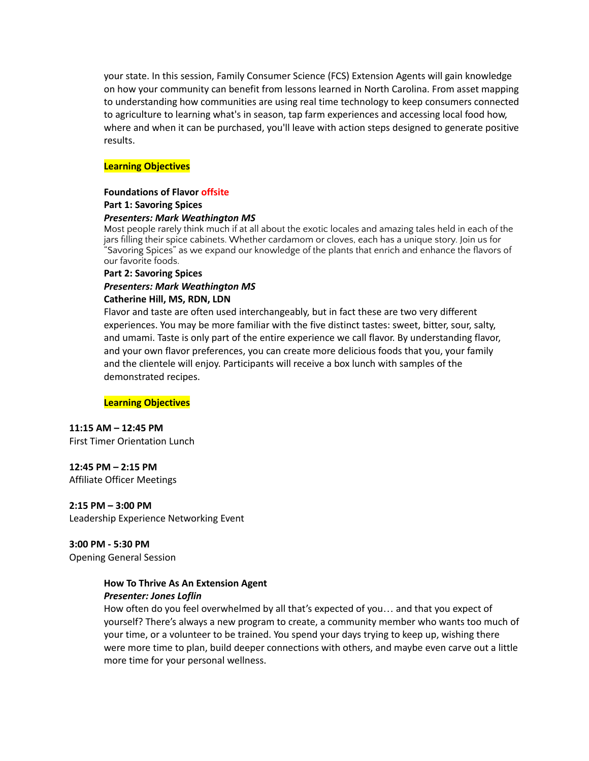your state. In this session, Family Consumer Science (FCS) Extension Agents will gain knowledge on how your community can benefit from lessons learned in North Carolina. From asset mapping to understanding how communities are using real time technology to keep consumers connected to agriculture to learning what's in season, tap farm experiences and accessing local food how, where and when it can be purchased, you'll leave with action steps designed to generate positive results.

#### **Learning Objectives**

#### **Foundations of Flavor offsite**

#### **Part 1: Savoring Spices**

#### *Presenters: Mark Weathington MS*

Most people rarely think much if at all about the exotic locales and amazing tales held in each of the jars filling their spice cabinets. Whether cardamom or cloves, each has a unique story. Join us for "Savoring Spices" as we expand our knowledge of the plants that enrich and enhance the flavors of our favorite foods.

#### **Part 2: Savoring Spices**

#### *Presenters: Mark Weathington MS* **Catherine Hill, MS, RDN, LDN**

## Flavor and taste are often used interchangeably, but in fact these are two very different experiences. You may be more familiar with the five distinct tastes: sweet, bitter, sour, salty, and umami. Taste is only part of the entire experience we call flavor. By understanding flavor, and your own flavor preferences, you can create more delicious foods that you, your family and the clientele will enjoy. Participants will receive a box lunch with samples of the demonstrated recipes.

#### **Learning Objectives**

## **11:15 AM – 12:45 PM**

First Timer Orientation Lunch

## **12:45 PM – 2:15 PM**

Affiliate Officer Meetings

## **2:15 PM – 3:00 PM**

Leadership Experience Networking Event

#### **3:00 PM - 5:30 PM** Opening General Session

### **How To Thrive As An Extension Agent** *Presenter: Jones Loflin*

## How often do you feel overwhelmed by all that's expected of you… and that you expect of yourself? There's always a new program to create, a community member who wants too much of your time, or a volunteer to be trained. You spend your days trying to keep up, wishing there were more time to plan, build deeper connections with others, and maybe even carve out a little more time for your personal wellness.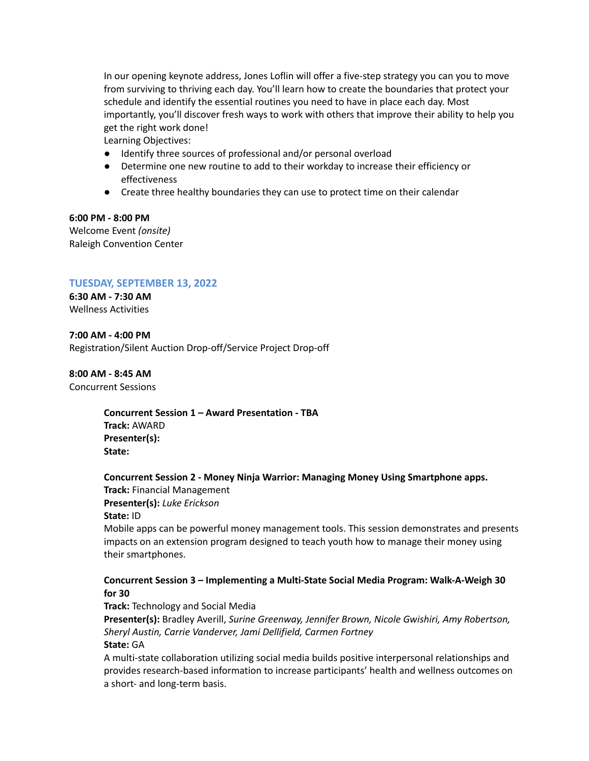In our opening keynote address, Jones Loflin will offer a five-step strategy you can you to move from surviving to thriving each day. You'll learn how to create the boundaries that protect your schedule and identify the essential routines you need to have in place each day. Most importantly, you'll discover fresh ways to work with others that improve their ability to help you get the right work done!

Learning Objectives:

- Identify three sources of professional and/or personal overload
- Determine one new routine to add to their workday to increase their efficiency or effectiveness
- Create three healthy boundaries they can use to protect time on their calendar

#### **6:00 PM - 8:00 PM**

Welcome Event *(onsite)* Raleigh Convention Center

## **TUESDAY, SEPTEMBER 13, 2022**

**6:30 AM - 7:30 AM** Wellness Activities

**7:00 AM - 4:00 PM** Registration/Silent Auction Drop-off/Service Project Drop-off

**8:00 AM - 8:45 AM** Concurrent Sessions

> **Concurrent Session 1 – Award Presentation - TBA Track:** AWARD **Presenter(s): State:**

#### **Concurrent Session 2 - Money Ninja Warrior: Managing Money Using Smartphone apps.**

**Track:** Financial Management **Presenter(s):** *Luke Erickson* **State:** ID

Mobile apps can be powerful money management tools. This session demonstrates and presents impacts on an extension program designed to teach youth how to manage their money using their smartphones.

## **Concurrent Session 3 – Implementing a Multi-State Social Media Program: Walk-A-Weigh 30 for 30**

## **Track:** Technology and Social Media

**Presenter(s):** Bradley Averill, *Surine Greenway, Jennifer Brown, Nicole Gwishiri, Amy Robertson, Sheryl Austin, Carrie Vanderver, Jami Dellifield, Carmen Fortney* **State:** GA

A multi-state collaboration utilizing social media builds positive interpersonal relationships and provides research-based information to increase participants' health and wellness outcomes on a short- and long-term basis.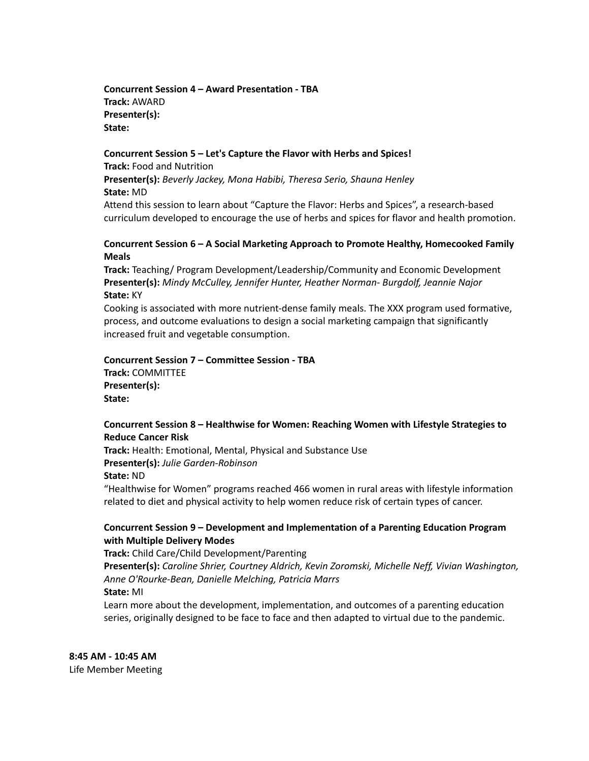**Concurrent Session 4 – Award Presentation - TBA Track:** AWARD **Presenter(s): State:**

#### **Concurrent Session 5 – Let's Capture the Flavor with Herbs and Spices!**

**Track:** Food and Nutrition **Presenter(s):** *Beverly Jackey, Mona Habibi, Theresa Serio, Shauna Henley* **State:** MD

Attend this session to learn about "Capture the Flavor: Herbs and Spices", a research-based curriculum developed to encourage the use of herbs and spices for flavor and health promotion.

#### **Concurrent Session 6 – A Social Marketing Approach to Promote Healthy, Homecooked Family Meals**

**Track:** Teaching/ Program Development/Leadership/Community and Economic Development **Presenter(s):** *Mindy McCulley, Jennifer Hunter, Heather Norman- Burgdolf, Jeannie Najor* **State:** KY

Cooking is associated with more nutrient-dense family meals. The XXX program used formative, process, and outcome evaluations to design a social marketing campaign that significantly increased fruit and vegetable consumption.

#### **Concurrent Session 7 – Committee Session - TBA**

**Track:** COMMITTEE **Presenter(s): State:**

#### **Concurrent Session 8 – Healthwise for Women: Reaching Women with Lifestyle Strategies to Reduce Cancer Risk**

**Track:** Health: Emotional, Mental, Physical and Substance Use **Presenter(s):** *Julie Garden-Robinson*

**State:** ND

"Healthwise for Women" programs reached 466 women in rural areas with lifestyle information related to diet and physical activity to help women reduce risk of certain types of cancer.

## **Concurrent Session 9 – Development and Implementation of a Parenting Education Program with Multiple Delivery Modes**

**Track:** Child Care/Child Development/Parenting

**Presenter(s):** *Caroline Shrier, Courtney Aldrich, Kevin Zoromski, Michelle Neff, Vivian Washington, Anne O'Rourke-Bean, Danielle Melching, Patricia Marrs*

**State:** MI

Learn more about the development, implementation, and outcomes of a parenting education series, originally designed to be face to face and then adapted to virtual due to the pandemic.

**8:45 AM - 10:45 AM** Life Member Meeting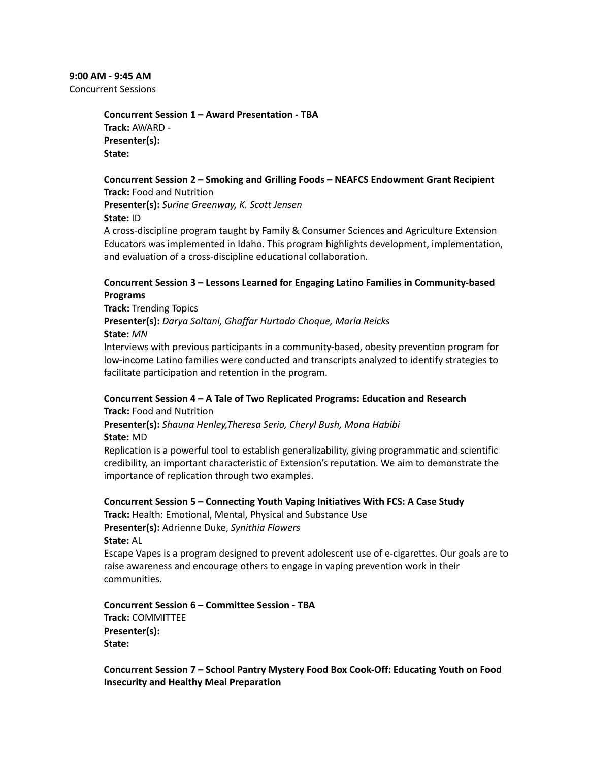**9:00 AM - 9:45 AM** Concurrent Sessions

> **Concurrent Session 1 – Award Presentation - TBA Track:** AWARD - **Presenter(s): State:**

#### **Concurrent Session 2 – Smoking and Grilling Foods – NEAFCS Endowment Grant Recipient Track:** Food and Nutrition

**Presenter(s):** *Surine Greenway, K. Scott Jensen* **State:** ID

A cross-discipline program taught by Family & Consumer Sciences and Agriculture Extension Educators was implemented in Idaho. This program highlights development, implementation, and evaluation of a cross-discipline educational collaboration.

## **Concurrent Session 3 – Lessons Learned for Engaging Latino Families in Community-based Programs**

**Track:** Trending Topics **Presenter(s):** *Darya Soltani, Ghaffar Hurtado Choque, Marla Reicks* **State:** *MN*

Interviews with previous participants in a community-based, obesity prevention program for low-income Latino families were conducted and transcripts analyzed to identify strategies to facilitate participation and retention in the program.

#### **Concurrent Session 4 – A Tale of Two Replicated Programs: Education and Research Track:** Food and Nutrition

**Presenter(s):** *Shauna Henley,Theresa Serio, Cheryl Bush, Mona Habibi* **State:** MD

Replication is a powerful tool to establish generalizability, giving programmatic and scientific credibility, an important characteristic of Extension's reputation. We aim to demonstrate the importance of replication through two examples.

## **Concurrent Session 5 – Connecting Youth Vaping Initiatives With FCS: A Case Study**

**Track:** Health: Emotional, Mental, Physical and Substance Use **Presenter(s):** Adrienne Duke, *Synithia Flowers* **State:** AL

Escape Vapes is a program designed to prevent adolescent use of e-cigarettes. Our goals are to raise awareness and encourage others to engage in vaping prevention work in their communities.

**Concurrent Session 6 – Committee Session - TBA Track:** COMMITTEE **Presenter(s): State:**

**Concurrent Session 7 – School Pantry Mystery Food Box Cook-Off: Educating Youth on Food Insecurity and Healthy Meal Preparation**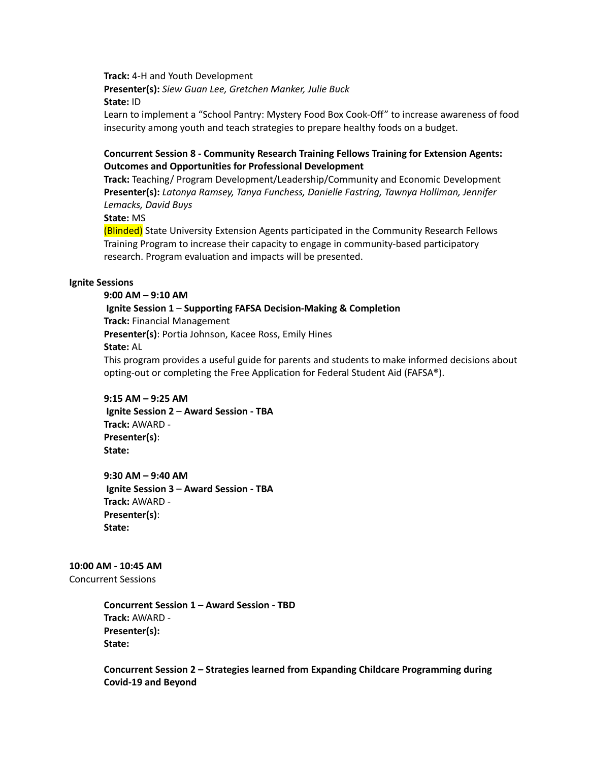**Track:** 4-H and Youth Development

**Presenter(s):** *Siew Guan Lee, Gretchen Manker, Julie Buck* **State:** ID

Learn to implement a "School Pantry: Mystery Food Box Cook-Off" to increase awareness of food insecurity among youth and teach strategies to prepare healthy foods on a budget.

## **Concurrent Session 8 - Community Research Training Fellows Training for Extension Agents: Outcomes and Opportunities for Professional Development**

**Track:** Teaching/ Program Development/Leadership/Community and Economic Development **Presenter(s):** *Latonya Ramsey, Tanya Funchess, Danielle Fastring, Tawnya Holliman, Jennifer Lemacks, David Buys*

**State:** MS

(Blinded) State University Extension Agents participated in the Community Research Fellows Training Program to increase their capacity to engage in community-based participatory research. Program evaluation and impacts will be presented.

## **Ignite Sessions**

## **9:00 AM – 9:10 AM**

## **Ignite Session 1** – **Supporting FAFSA Decision-Making & Completion**

**Track:** Financial Management

**Presenter(s)**: Portia Johnson, Kacee Ross, Emily Hines

#### **State:** AL

This program provides a useful guide for parents and students to make informed decisions about opting-out or completing the Free Application for Federal Student Aid (FAFSA®).

## **9:15 AM – 9:25 AM**

**Ignite Session 2** – **Award Session - TBA Track:** AWARD - **Presenter(s)**: **State:**

**9:30 AM – 9:40 AM Ignite Session 3** – **Award Session - TBA Track:** AWARD - **Presenter(s)**: **State:**

#### **10:00 AM - 10:45 AM** Concurrent Sessions

**Concurrent Session 1 – Award Session - TBD Track:** AWARD - **Presenter(s): State:**

**Concurrent Session 2 – Strategies learned from Expanding Childcare Programming during Covid-19 and Beyond**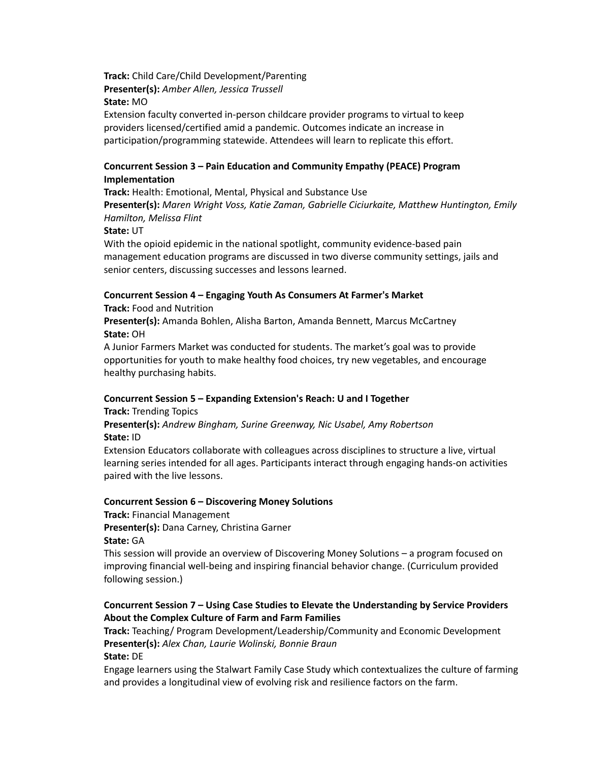**Track:** Child Care/Child Development/Parenting **Presenter(s):** *Amber Allen, Jessica Trussell* **State:** MO

Extension faculty converted in-person childcare provider programs to virtual to keep providers licensed/certified amid a pandemic. Outcomes indicate an increase in participation/programming statewide. Attendees will learn to replicate this effort.

## **Concurrent Session 3 – Pain Education and Community Empathy (PEACE) Program Implementation**

**Track:** Health: Emotional, Mental, Physical and Substance Use

**Presenter(s):** *Maren Wright Voss, Katie Zaman, Gabrielle Ciciurkaite, Matthew Huntington, Emily Hamilton, Melissa Flint*

**State:** UT

With the opioid epidemic in the national spotlight, community evidence-based pain management education programs are discussed in two diverse community settings, jails and senior centers, discussing successes and lessons learned.

## **Concurrent Session 4 – Engaging Youth As Consumers At Farmer's Market**

**Track:** Food and Nutrition

**Presenter(s):** Amanda Bohlen, Alisha Barton, Amanda Bennett, Marcus McCartney **State:** OH

A Junior Farmers Market was conducted for students. The market's goal was to provide opportunities for youth to make healthy food choices, try new vegetables, and encourage healthy purchasing habits.

## **Concurrent Session 5 – Expanding Extension's Reach: U and I Together**

**Track:** Trending Topics

**Presenter(s):** *Andrew Bingham, Surine Greenway, Nic Usabel, Amy Robertson* **State:** ID

Extension Educators collaborate with colleagues across disciplines to structure a live, virtual learning series intended for all ages. Participants interact through engaging hands-on activities paired with the live lessons.

## **Concurrent Session 6 – Discovering Money Solutions**

**Track:** Financial Management

**Presenter(s):** Dana Carney, Christina Garner

**State:** GA

This session will provide an overview of Discovering Money Solutions – a program focused on improving financial well-being and inspiring financial behavior change. (Curriculum provided following session.)

## **Concurrent Session 7 – Using Case Studies to Elevate the Understanding by Service Providers About the Complex Culture of Farm and Farm Families**

**Track:** Teaching/ Program Development/Leadership/Community and Economic Development **Presenter(s):** *Alex Chan, Laurie Wolinski, Bonnie Braun*

**State:** DE

Engage learners using the Stalwart Family Case Study which contextualizes the culture of farming and provides a longitudinal view of evolving risk and resilience factors on the farm.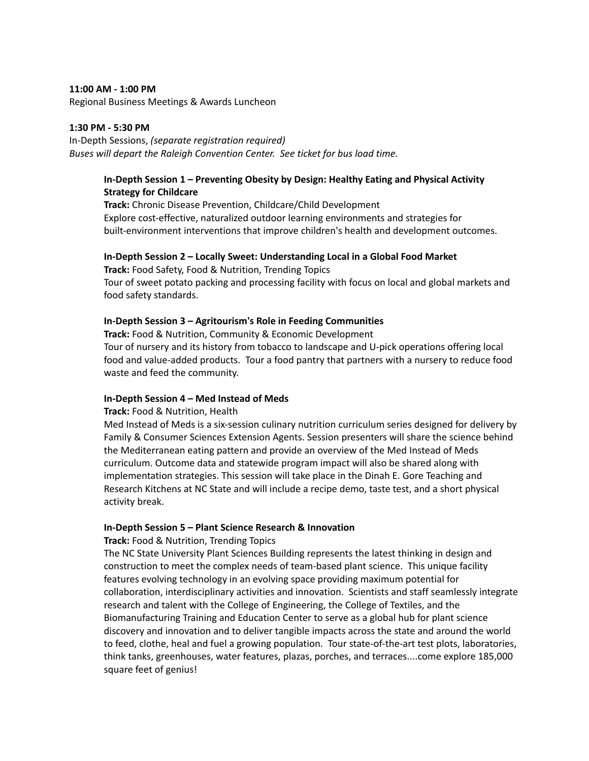#### **11:00 AM - 1:00 PM**

Regional Business Meetings & Awards Luncheon

#### **1:30 PM - 5:30 PM**

In-Depth Sessions, *(separate registration required) Buses will depart the Raleigh Convention Center. See ticket for bus load time.*

## **In-Depth Session 1 – Preventing Obesity by Design: Healthy Eating and Physical Activity Strategy for Childcare**

**Track:** Chronic Disease Prevention, Childcare/Child Development Explore cost-effective, naturalized outdoor learning environments and strategies for built-environment interventions that improve children's health and development outcomes.

#### **In-Depth Session 2 – Locally Sweet: Understanding Local in a Global Food Market**

**Track:** Food Safety, Food & Nutrition, Trending Topics Tour of sweet potato packing and processing facility with focus on local and global markets and food safety standards.

#### **In-Depth Session 3 – Agritourism's Role in Feeding Communities**

**Track:** Food & Nutrition, Community & Economic Development Tour of nursery and its history from tobacco to landscape and U-pick operations offering local food and value-added products. Tour a food pantry that partners with a nursery to reduce food waste and feed the community.

#### **In-Depth Session 4 – Med Instead of Meds**

#### **Track:** Food & Nutrition, Health

Med Instead of Meds is a six-session culinary nutrition curriculum series designed for delivery by Family & Consumer Sciences Extension Agents. Session presenters will share the science behind the Mediterranean eating pattern and provide an overview of the Med Instead of Meds curriculum. Outcome data and statewide program impact will also be shared along with implementation strategies. This session will take place in the Dinah E. Gore Teaching and Research Kitchens at NC State and will include a recipe demo, taste test, and a short physical activity break.

#### **In-Depth Session 5 – Plant Science Research & Innovation**

#### **Track:** Food & Nutrition, Trending Topics

The NC State University Plant Sciences Building represents the latest thinking in design and construction to meet the complex needs of team-based plant science. This unique facility features evolving technology in an evolving space providing maximum potential for collaboration, interdisciplinary activities and innovation. Scientists and staff seamlessly integrate research and talent with the College of Engineering, the College of Textiles, and the Biomanufacturing Training and Education Center to serve as a global hub for plant science discovery and innovation and to deliver tangible impacts across the state and around the world to feed, clothe, heal and fuel a growing population. Tour state-of-the-art test plots, laboratories, think tanks, greenhouses, water features, plazas, porches, and terraces....come explore 185,000 square feet of genius!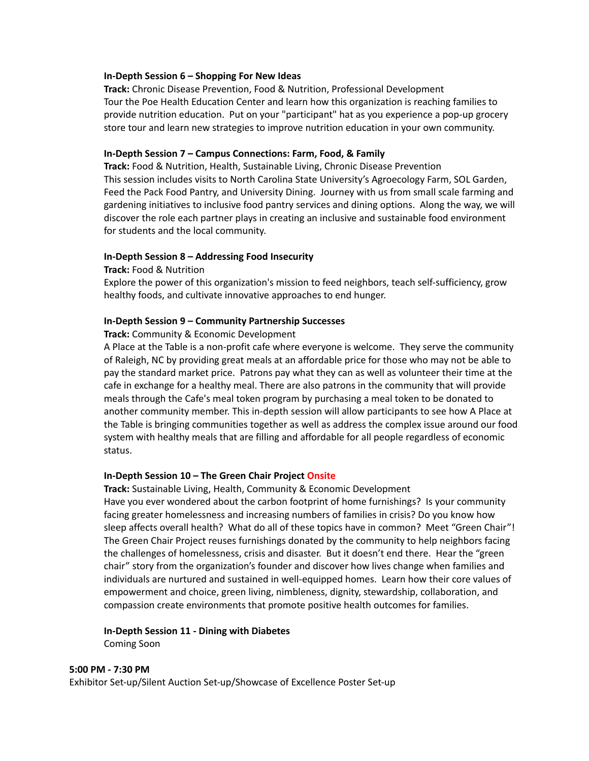#### **In-Depth Session 6 – Shopping For New Ideas**

**Track:** Chronic Disease Prevention, Food & Nutrition, Professional Development Tour the Poe Health Education Center and learn how this organization is reaching families to provide nutrition education. Put on your "participant" hat as you experience a pop-up grocery store tour and learn new strategies to improve nutrition education in your own community.

#### **In-Depth Session 7 – Campus Connections: Farm, Food, & Family**

**Track:** Food & Nutrition, Health, Sustainable Living, Chronic Disease Prevention This session includes visits to North Carolina State University's Agroecology Farm, SOL Garden, Feed the Pack Food Pantry, and University Dining. Journey with us from small scale farming and gardening initiatives to inclusive food pantry services and dining options. Along the way, we will discover the role each partner plays in creating an inclusive and sustainable food environment for students and the local community.

#### **In-Depth Session 8 – Addressing Food Insecurity**

**Track:** Food & Nutrition

Explore the power of this organization's mission to feed neighbors, teach self-sufficiency, grow healthy foods, and cultivate innovative approaches to end hunger.

#### **In-Depth Session 9 – Community Partnership Successes**

**Track:** Community & Economic Development

A Place at the Table is a non-profit cafe where everyone is welcome. They serve the community of Raleigh, NC by providing great meals at an affordable price for those who may not be able to pay the standard market price. Patrons pay what they can as well as volunteer their time at the cafe in exchange for a healthy meal. There are also patrons in the community that will provide meals through the Cafe's meal token program by purchasing a meal token to be donated to another community member. This in-depth session will allow participants to see how A Place at the Table is bringing communities together as well as address the complex issue around our food system with healthy meals that are filling and affordable for all people regardless of economic status.

#### **In-Depth Session 10 – The Green Chair Project Onsite**

**Track:** Sustainable Living, Health, Community & Economic Development Have you ever wondered about the carbon footprint of home furnishings? Is your community facing greater homelessness and increasing numbers of families in crisis? Do you know how sleep affects overall health? What do all of these topics have in common? Meet "Green Chair"! The Green Chair Project reuses furnishings donated by the community to help neighbors facing the challenges of homelessness, crisis and disaster. But it doesn't end there. Hear the "green chair" story from the organization's founder and discover how lives change when families and individuals are nurtured and sustained in well-equipped homes. Learn how their core values of empowerment and choice, green living, nimbleness, dignity, stewardship, collaboration, and compassion create environments that promote positive health outcomes for families.

#### **In-Depth Session 11 - Dining with Diabetes**

Coming Soon

#### **5:00 PM - 7:30 PM**

Exhibitor Set-up/Silent Auction Set-up/Showcase of Excellence Poster Set-up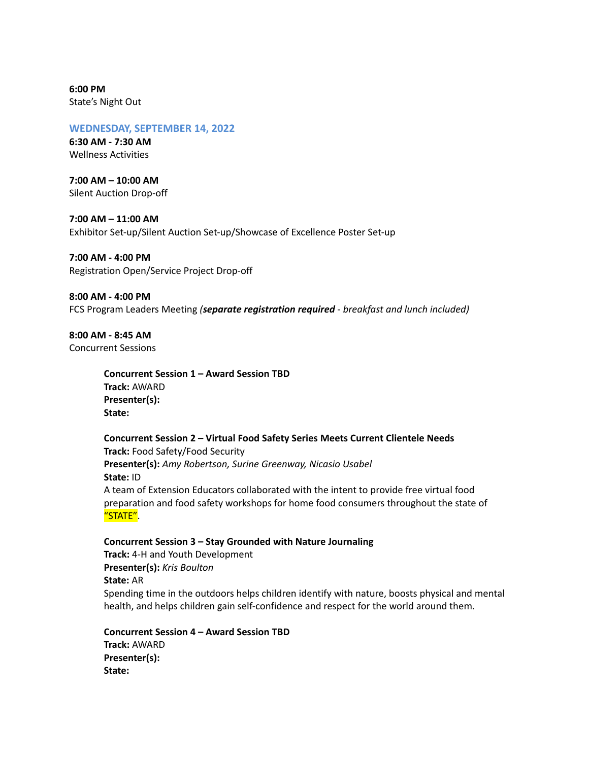**6:00 PM** State's Night Out

#### **WEDNESDAY, SEPTEMBER 14, 2022**

**6:30 AM - 7:30 AM** Wellness Activities

**7:00 AM – 10:00 AM** Silent Auction Drop-off

**7:00 AM – 11:00 AM** Exhibitor Set-up/Silent Auction Set-up/Showcase of Excellence Poster Set-up

**7:00 AM - 4:00 PM** Registration Open/Service Project Drop-off

**8:00 AM - 4:00 PM** FCS Program Leaders Meeting *(separate registration required - breakfast and lunch included)*

**8:00 AM - 8:45 AM** Concurrent Sessions

> **Concurrent Session 1 – Award Session TBD Track:** AWARD **Presenter(s): State:**

**Concurrent Session 2 – Virtual Food Safety Series Meets Current Clientele Needs Track:** Food Safety/Food Security **Presenter(s):** *Amy Robertson, Surine Greenway, Nicasio Usabel* **State:** ID A team of Extension Educators collaborated with the intent to provide free virtual food preparation and food safety workshops for home food consumers throughout the state of "STATE".

**Concurrent Session 3 – Stay Grounded with Nature Journaling Track:** 4-H and Youth Development **Presenter(s):** *Kris Boulton* **State:** AR Spending time in the outdoors helps children identify with nature, boosts physical and mental health, and helps children gain self-confidence and respect for the world around them.

**Concurrent Session 4 – Award Session TBD Track:** AWARD **Presenter(s): State:**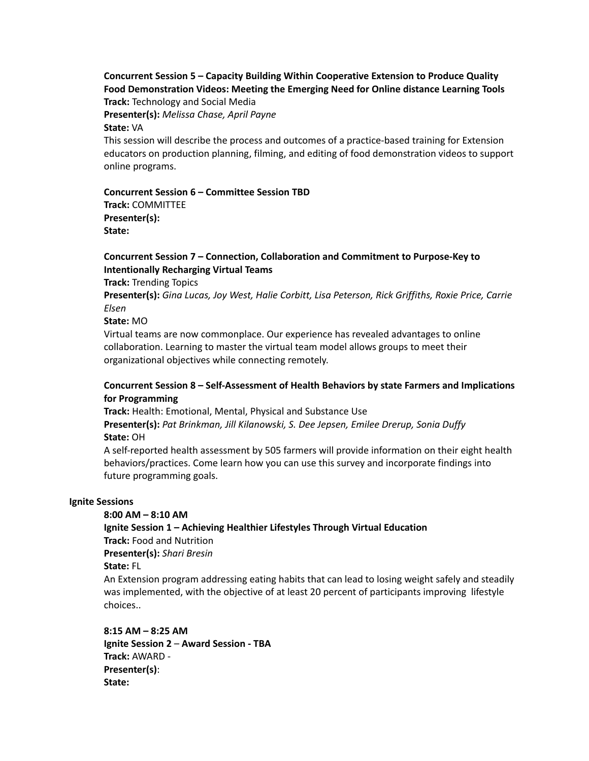### **Concurrent Session 5 – Capacity Building Within Cooperative Extension to Produce Quality Food Demonstration Videos: Meeting the Emerging Need for Online distance Learning Tools Track:** Technology and Social Media

**Presenter(s):** *Melissa Chase, April Payne*

#### **State:** VA

This session will describe the process and outcomes of a practice-based training for Extension educators on production planning, filming, and editing of food demonstration videos to support online programs.

## **Concurrent Session 6 – Committee Session TBD Track:** COMMITTEE **Presenter(s):**

**State:**

## **Concurrent Session 7 – Connection, Collaboration and Commitment to Purpose-Key to Intentionally Recharging Virtual Teams**

**Track:** Trending Topics

**Presenter(s):** *Gina Lucas, Joy West, Halie Corbitt, Lisa Peterson, Rick Griffiths, Roxie Price, Carrie Elsen*

**State:** MO

Virtual teams are now commonplace. Our experience has revealed advantages to online collaboration. Learning to master the virtual team model allows groups to meet their organizational objectives while connecting remotely.

## **Concurrent Session 8 – Self-Assessment of Health Behaviors by state Farmers and Implications for Programming**

**Track:** Health: Emotional, Mental, Physical and Substance Use **Presenter(s):** *Pat Brinkman, Jill Kilanowski, S. Dee Jepsen, Emilee Drerup, Sonia Duffy* **State:** OH

A self-reported health assessment by 505 farmers will provide information on their eight health behaviors/practices. Come learn how you can use this survey and incorporate findings into future programming goals.

## **Ignite Sessions**

## **8:00 AM – 8:10 AM**

**Ignite Session 1 – Achieving Healthier Lifestyles Through Virtual Education Track:** Food and Nutrition **Presenter(s):** *Shari Bresin* **State:** FL

An Extension program addressing eating habits that can lead to losing weight safely and steadily was implemented, with the objective of at least 20 percent of participants improving lifestyle choices..

## **8:15 AM – 8:25 AM**

**Ignite Session 2** – **Award Session - TBA Track:** AWARD - **Presenter(s)**: **State:**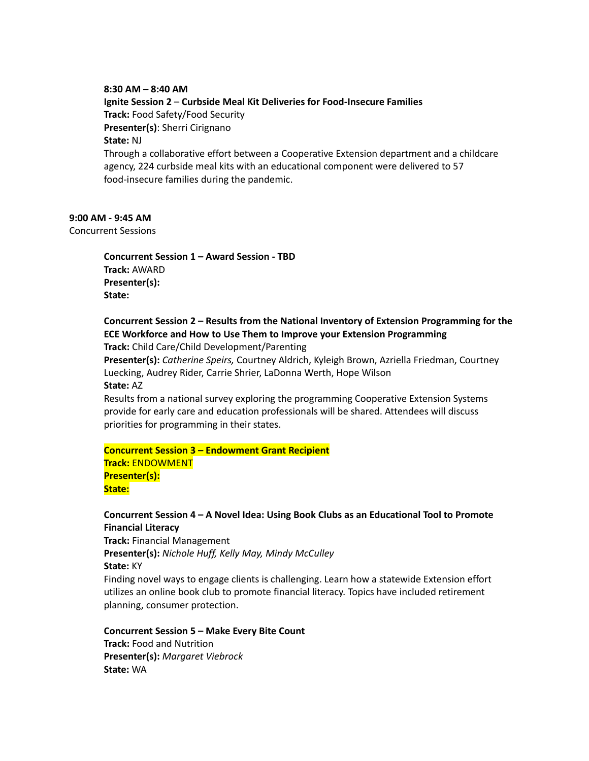## **8:30 AM – 8:40 AM Ignite Session 2** – **Curbside Meal Kit Deliveries for Food-Insecure Families Track:** Food Safety/Food Security **Presenter(s)**: Sherri Cirignano **State:** NJ Through a collaborative effort between a Cooperative Extension department and a childcare agency, 224 curbside meal kits with an educational component were delivered to 57 food-insecure families during the pandemic.

## **9:00 AM - 9:45 AM**

Concurrent Sessions

**Concurrent Session 1 – Award Session - TBD Track:** AWARD **Presenter(s): State:**

## **Concurrent Session 2 – Results from the National Inventory of Extension Programming for the ECE Workforce and How to Use Them to Improve your Extension Programming**

**Track:** Child Care/Child Development/Parenting

**Presenter(s):** *Catherine Speirs,* Courtney Aldrich, Kyleigh Brown, Azriella Friedman, Courtney Luecking, Audrey Rider, Carrie Shrier, LaDonna Werth, Hope Wilson **State:** AZ

Results from a national survey exploring the programming Cooperative Extension Systems provide for early care and education professionals will be shared. Attendees will discuss priorities for programming in their states.

**Concurrent Session 3 – Endowment Grant Recipient Track:** ENDOWMENT **Presenter(s): State:**

## **Concurrent Session 4 – A Novel Idea: Using Book Clubs as an Educational Tool to Promote Financial Literacy**

**Track:** Financial Management **Presenter(s):** *Nichole Huff, Kelly May, Mindy McCulley* **State:** KY Finding novel ways to engage clients is challenging. Learn how a statewide Extension effort utilizes an online book club to promote financial literacy. Topics have included retirement planning, consumer protection.

## **Concurrent Session 5 – Make Every Bite Count**

**Track:** Food and Nutrition **Presenter(s):** *Margaret Viebrock* **State:** WA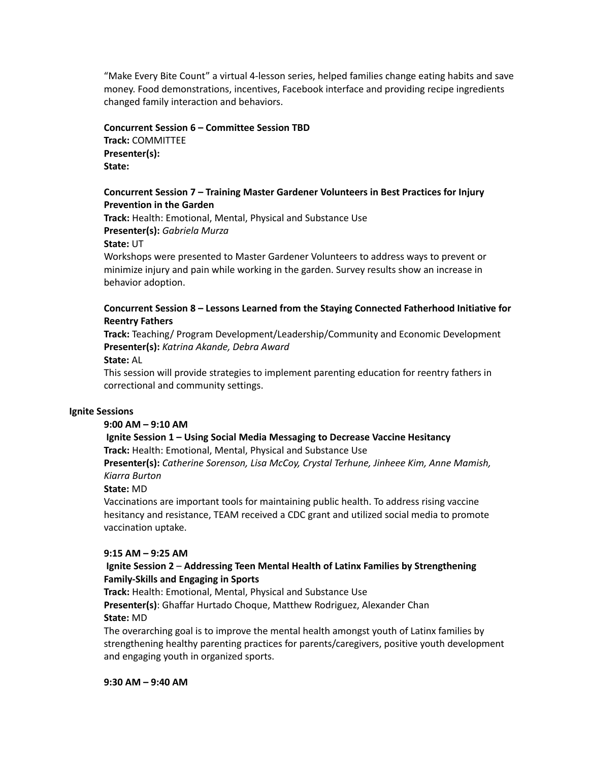"Make Every Bite Count" a virtual 4-lesson series, helped families change eating habits and save money. Food demonstrations, incentives, Facebook interface and providing recipe ingredients changed family interaction and behaviors.

### **Concurrent Session 6 – Committee Session TBD**

**Track:** COMMITTEE **Presenter(s): State:**

## **Concurrent Session 7 – Training Master Gardener Volunteers in Best Practices for Injury Prevention in the Garden**

**Track:** Health: Emotional, Mental, Physical and Substance Use **Presenter(s):** *Gabriela Murza*

**State:** UT

Workshops were presented to Master Gardener Volunteers to address ways to prevent or minimize injury and pain while working in the garden. Survey results show an increase in behavior adoption.

## **Concurrent Session 8 – Lessons Learned from the Staying Connected Fatherhood Initiative for Reentry Fathers**

**Track:** Teaching/ Program Development/Leadership/Community and Economic Development **Presenter(s):** *Katrina Akande, Debra Award*

## **State:** AL

This session will provide strategies to implement parenting education for reentry fathers in correctional and community settings.

## **Ignite Sessions**

#### **9:00 AM – 9:10 AM**

#### **Ignite Session 1 – Using Social Media Messaging to Decrease Vaccine Hesitancy Track:** Health: Emotional, Mental, Physical and Substance Use

**Presenter(s):** *Catherine Sorenson, Lisa McCoy, Crystal Terhune, Jinheee Kim, Anne Mamish, Kiarra Burton*

#### **State:** MD

Vaccinations are important tools for maintaining public health. To address rising vaccine hesitancy and resistance, TEAM received a CDC grant and utilized social media to promote vaccination uptake.

#### **9:15 AM – 9:25 AM**

## **Ignite Session 2** – **Addressing Teen Mental Health of Latinx Families by Strengthening Family-Skills and Engaging in Sports**

**Track:** Health: Emotional, Mental, Physical and Substance Use

**Presenter(s)**: Ghaffar Hurtado Choque, Matthew Rodriguez, Alexander Chan **State:** MD

The overarching goal is to improve the mental health amongst youth of Latinx families by strengthening healthy parenting practices for parents/caregivers, positive youth development and engaging youth in organized sports.

#### **9:30 AM – 9:40 AM**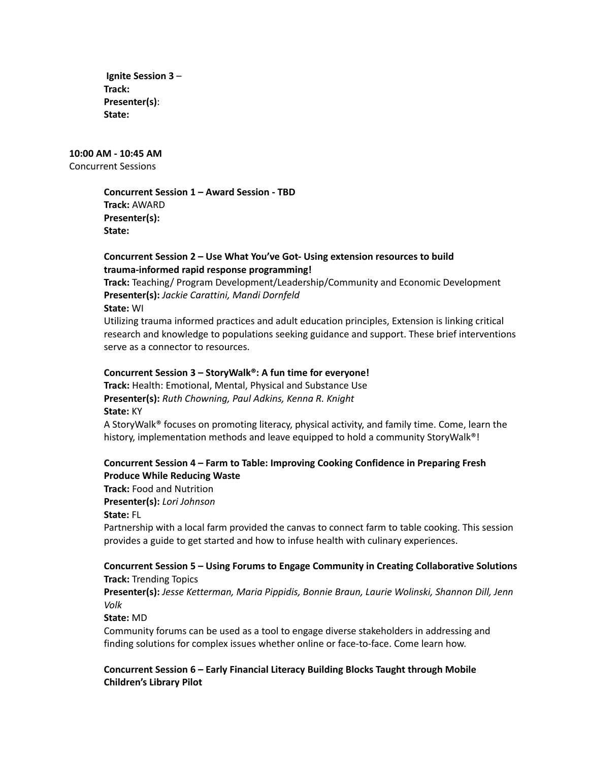**Ignite Session 3** – **Track: Presenter(s)**: **State:**

# **10:00 AM - 10:45 AM**

Concurrent Sessions

## **Concurrent Session 1 – Award Session - TBD Track:** AWARD **Presenter(s): State:**

### **Concurrent Session 2 – Use What You've Got- Using extension resources to build trauma-informed rapid response programming!**

**Track:** Teaching/ Program Development/Leadership/Community and Economic Development **Presenter(s):** *Jackie Carattini, Mandi Dornfeld*

**State:** WI

Utilizing trauma informed practices and adult education principles, Extension is linking critical research and knowledge to populations seeking guidance and support. These brief interventions serve as a connector to resources.

## **Concurrent Session 3 – StoryWalk®: A fun time for everyone!**

**Track:** Health: Emotional, Mental, Physical and Substance Use **Presenter(s):** *Ruth Chowning, Paul Adkins, Kenna R. Knight* **State:** KY

A StoryWalk® focuses on promoting literacy, physical activity, and family time. Come, learn the history, implementation methods and leave equipped to hold a community StoryWalk®!

## **Concurrent Session 4 – Farm to Table: Improving Cooking Confidence in Preparing Fresh Produce While Reducing Waste**

**Track:** Food and Nutrition **Presenter(s):** *Lori Johnson*

**State:** FL

Partnership with a local farm provided the canvas to connect farm to table cooking. This session provides a guide to get started and how to infuse health with culinary experiences.

## **Concurrent Session 5 – Using Forums to Engage Community in Creating Collaborative Solutions Track:** Trending Topics

**Presenter(s):** *Jesse Ketterman, Maria Pippidis, Bonnie Braun, Laurie Wolinski, Shannon Dill, Jenn Volk*

**State:** MD

Community forums can be used as a tool to engage diverse stakeholders in addressing and finding solutions for complex issues whether online or face-to-face. Come learn how.

## **Concurrent Session 6 – Early Financial Literacy Building Blocks Taught through Mobile Children's Library Pilot**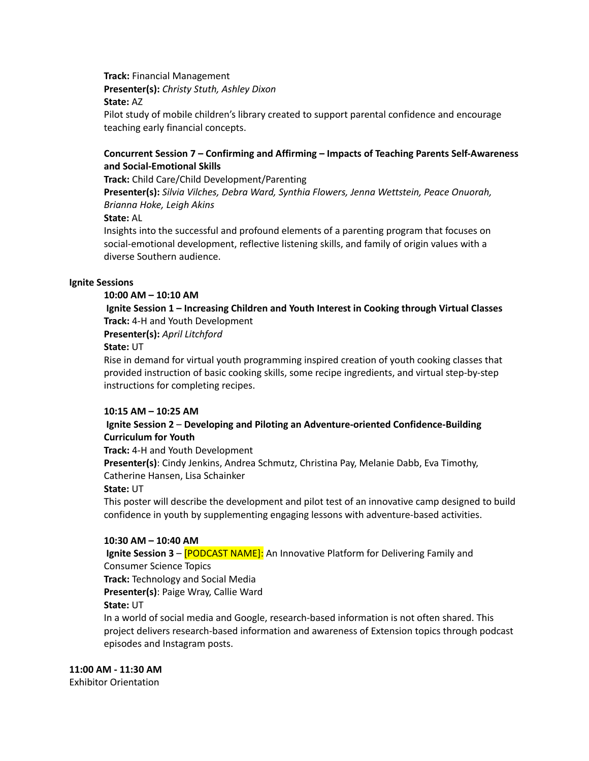### **Track:** Financial Management

**Presenter(s):** *Christy Stuth, Ashley Dixon*

#### **State:** AZ

Pilot study of mobile children's library created to support parental confidence and encourage teaching early financial concepts.

## **Concurrent Session 7 – Confirming and Affirming – Impacts of Teaching Parents Self-Awareness and Social-Emotional Skills**

**Track:** Child Care/Child Development/Parenting

**Presenter(s):** *Silvia Vilches, Debra Ward, Synthia Flowers, Jenna Wettstein, Peace Onuorah, Brianna Hoke, Leigh Akins*

**State:** AL

Insights into the successful and profound elements of a parenting program that focuses on social-emotional development, reflective listening skills, and family of origin values with a diverse Southern audience.

## **Ignite Sessions**

## **10:00 AM – 10:10 AM**

**Ignite Session 1 – Increasing Children and Youth Interest in Cooking through Virtual Classes Track:** 4-H and Youth Development

**Presenter(s):** *April Litchford*

## **State:** UT

Rise in demand for virtual youth programming inspired creation of youth cooking classes that provided instruction of basic cooking skills, some recipe ingredients, and virtual step-by-step instructions for completing recipes.

## **10:15 AM – 10:25 AM**

## **Ignite Session 2** – **Developing and Piloting an Adventure-oriented Confidence-Building Curriculum for Youth**

**Track:** 4-H and Youth Development

**Presenter(s)**: Cindy Jenkins, Andrea Schmutz, Christina Pay, Melanie Dabb, Eva Timothy, Catherine Hansen, Lisa Schainker

## **State:** UT

This poster will describe the development and pilot test of an innovative camp designed to build confidence in youth by supplementing engaging lessons with adventure-based activities.

## **10:30 AM – 10:40 AM**

**Ignite Session 3** – [PODCAST NAME]: An Innovative Platform for Delivering Family and

## Consumer Science Topics

**Track:** Technology and Social Media

**Presenter(s)**: Paige Wray, Callie Ward

## **State:** UT

In a world of social media and Google, research-based information is not often shared. This project delivers research-based information and awareness of Extension topics through podcast episodes and Instagram posts.

**11:00 AM - 11:30 AM** Exhibitor Orientation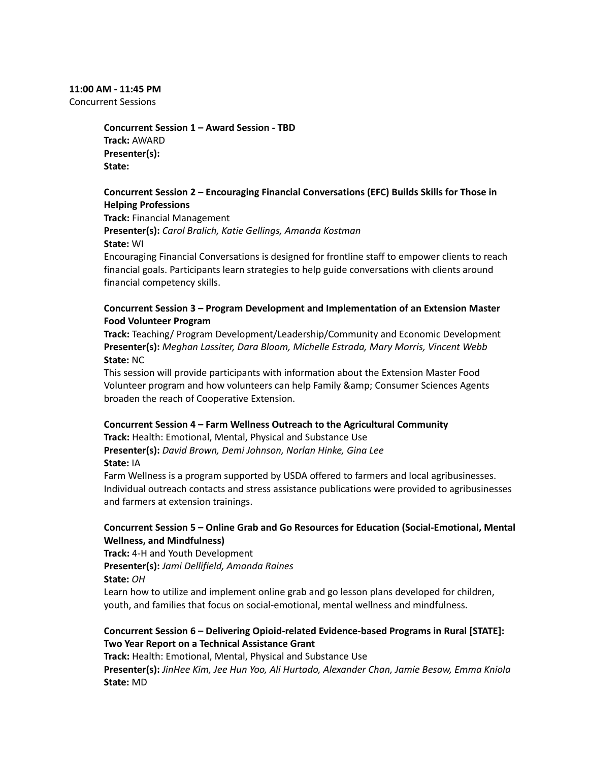## **11:00 AM - 11:45 PM**

Concurrent Sessions

**Concurrent Session 1 – Award Session - TBD Track:** AWARD **Presenter(s): State:**

## **Concurrent Session 2 – Encouraging Financial Conversations (EFC) Builds Skills for Those in Helping Professions**

**Track:** Financial Management **Presenter(s):** *Carol Bralich, Katie Gellings, Amanda Kostman* **State:** WI

Encouraging Financial Conversations is designed for frontline staff to empower clients to reach financial goals. Participants learn strategies to help guide conversations with clients around financial competency skills.

## **Concurrent Session 3 – Program Development and Implementation of an Extension Master Food Volunteer Program**

**Track:** Teaching/ Program Development/Leadership/Community and Economic Development **Presenter(s):** *Meghan Lassiter, Dara Bloom, Michelle Estrada, Mary Morris, Vincent Webb* **State:** NC

This session will provide participants with information about the Extension Master Food Volunteer program and how volunteers can help Family & amp; Consumer Sciences Agents broaden the reach of Cooperative Extension.

## **Concurrent Session 4 – Farm Wellness Outreach to the Agricultural Community**

**Track:** Health: Emotional, Mental, Physical and Substance Use **Presenter(s):** *David Brown, Demi Johnson, Norlan Hinke, Gina Lee* **State:** IA

Farm Wellness is a program supported by USDA offered to farmers and local agribusinesses. Individual outreach contacts and stress assistance publications were provided to agribusinesses and farmers at extension trainings.

## **Concurrent Session 5 – Online Grab and Go Resources for Education (Social-Emotional, Mental Wellness, and Mindfulness)**

**Track:** 4-H and Youth Development

**Presenter(s):** *Jami Dellifield, Amanda Raines* **State:** *OH*

Learn how to utilize and implement online grab and go lesson plans developed for children, youth, and families that focus on social-emotional, mental wellness and mindfulness.

## **Concurrent Session 6 – Delivering Opioid-related Evidence-based Programs in Rural [STATE]: Two Year Report on a Technical Assistance Grant**

**Track:** Health: Emotional, Mental, Physical and Substance Use **Presenter(s):** *JinHee Kim, Jee Hun Yoo, Ali Hurtado, Alexander Chan, Jamie Besaw, Emma Kniola* **State:** MD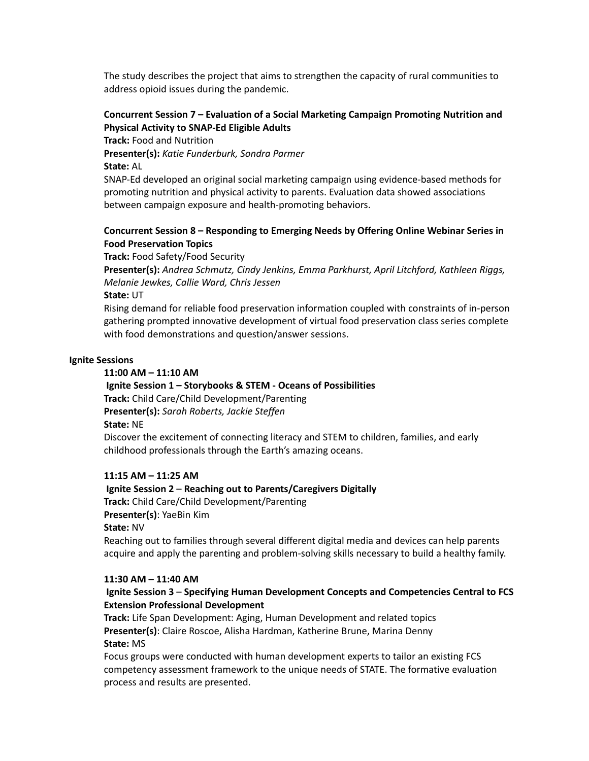The study describes the project that aims to strengthen the capacity of rural communities to address opioid issues during the pandemic.

## **Concurrent Session 7 – Evaluation of a Social Marketing Campaign Promoting Nutrition and Physical Activity to SNAP-Ed Eligible Adults**

**Track:** Food and Nutrition

**Presenter(s):** *Katie Funderburk, Sondra Parmer* **State:** AL

SNAP-Ed developed an original social marketing campaign using evidence-based methods for promoting nutrition and physical activity to parents. Evaluation data showed associations between campaign exposure and health-promoting behaviors.

## **Concurrent Session 8 – Responding to Emerging Needs by Offering Online Webinar Series in Food Preservation Topics**

**Track:** Food Safety/Food Security

**Presenter(s):** *Andrea Schmutz, Cindy Jenkins, Emma Parkhurst, April Litchford, Kathleen Riggs, Melanie Jewkes, Callie Ward, Chris Jessen*

**State:** UT

Rising demand for reliable food preservation information coupled with constraints of in-person gathering prompted innovative development of virtual food preservation class series complete with food demonstrations and question/answer sessions.

#### **Ignite Sessions**

## **11:00 AM – 11:10 AM**

## **Ignite Session 1 – Storybooks & STEM - Oceans of Possibilities**

**Track:** Child Care/Child Development/Parenting

**Presenter(s):** *Sarah Roberts, Jackie Steffen*

**State:** NE

Discover the excitement of connecting literacy and STEM to children, families, and early childhood professionals through the Earth's amazing oceans.

## **11:15 AM – 11:25 AM**

#### **Ignite Session 2** – **Reaching out to Parents/Caregivers Digitally**

**Track:** Child Care/Child Development/Parenting **Presenter(s)**: YaeBin Kim

**State:** NV

Reaching out to families through several different digital media and devices can help parents acquire and apply the parenting and problem-solving skills necessary to build a healthy family.

## **11:30 AM – 11:40 AM**

## **Ignite Session 3** – **Specifying Human Development Concepts and Competencies Central to FCS Extension Professional Development**

**Track:** Life Span Development: Aging, Human Development and related topics **Presenter(s)**: Claire Roscoe, Alisha Hardman, Katherine Brune, Marina Denny **State:** MS

Focus groups were conducted with human development experts to tailor an existing FCS competency assessment framework to the unique needs of STATE. The formative evaluation process and results are presented.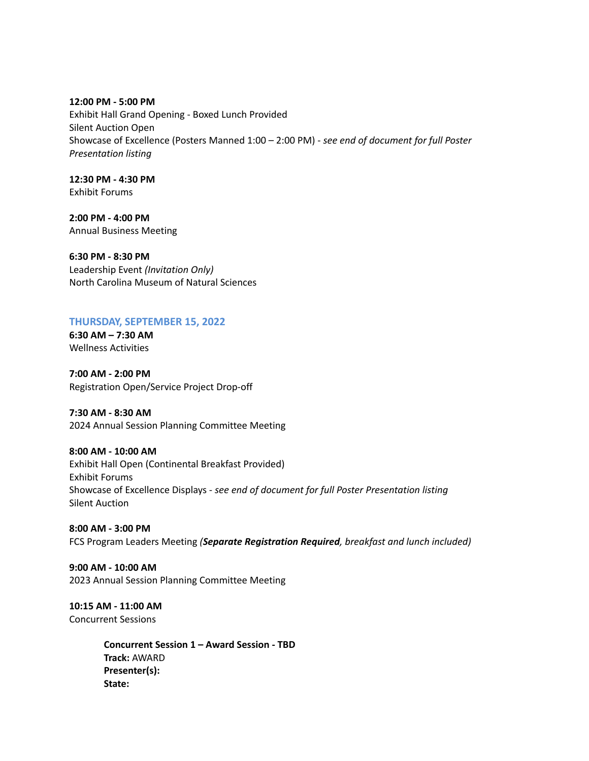**12:00 PM - 5:00 PM** Exhibit Hall Grand Opening - Boxed Lunch Provided Silent Auction Open Showcase of Excellence (Posters Manned 1:00 – 2:00 PM) - *see end of document for full Poster Presentation listing*

**12:30 PM - 4:30 PM** Exhibit Forums

**2:00 PM - 4:00 PM** Annual Business Meeting

**6:30 PM - 8:30 PM** Leadership Event *(Invitation Only)* North Carolina Museum of Natural Sciences

## **THURSDAY, SEPTEMBER 15, 2022**

**6:30 AM – 7:30 AM** Wellness Activities

**7:00 AM - 2:00 PM** Registration Open/Service Project Drop-off

**7:30 AM - 8:30 AM** 2024 Annual Session Planning Committee Meeting

**8:00 AM - 10:00 AM** Exhibit Hall Open (Continental Breakfast Provided) Exhibit Forums Showcase of Excellence Displays - *see end of document for full Poster Presentation listing* Silent Auction

**8:00 AM - 3:00 PM** FCS Program Leaders Meeting *(Separate Registration Required, breakfast and lunch included)*

**9:00 AM - 10:00 AM** 2023 Annual Session Planning Committee Meeting

**10:15 AM - 11:00 AM** Concurrent Sessions

> **Concurrent Session 1 – Award Session - TBD Track:** AWARD **Presenter(s): State:**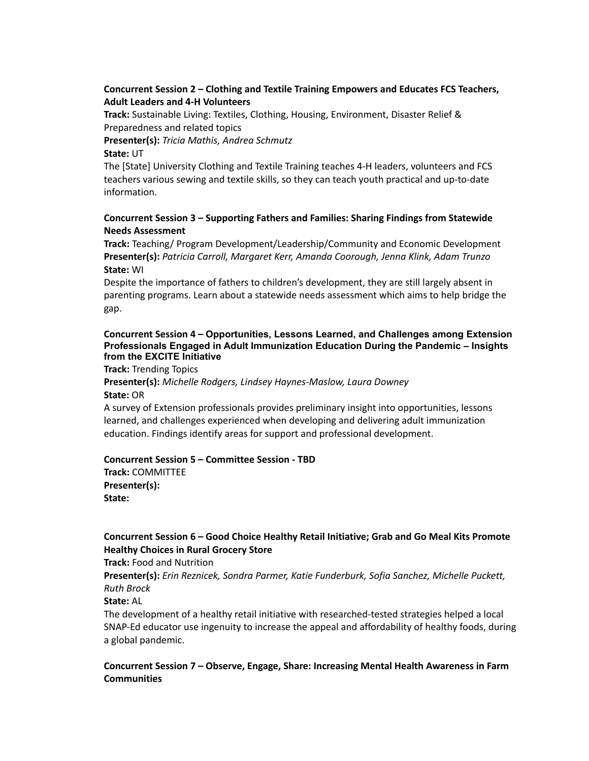## **Concurrent Session 2 – Clothing and Textile Training Empowers and Educates FCS Teachers, Adult Leaders and 4-H Volunteers**

**Track:** Sustainable Living: Textiles, Clothing, Housing, Environment, Disaster Relief & Preparedness and related topics

**Presenter(s):** *Tricia Mathis, Andrea Schmutz*

**State:** UT

The [State] University Clothing and Textile Training teaches 4-H leaders, volunteers and FCS teachers various sewing and textile skills, so they can teach youth practical and up-to-date information.

## **Concurrent Session 3 – Supporting Fathers and Families: Sharing Findings from Statewide Needs Assessment**

**Track:** Teaching/ Program Development/Leadership/Community and Economic Development **Presenter(s):** *Patricia Carroll, Margaret Kerr, Amanda Coorough, Jenna Klink, Adam Trunzo* **State:** WI

Despite the importance of fathers to children's development, they are still largely absent in parenting programs. Learn about a statewide needs assessment which aims to help bridge the gap.

### **Concurrent Session 4 – Opportunities, Lessons Learned, and Challenges among Extension Professionals Engaged in Adult Immunization Education During the Pandemic – Insights from the EXCITE Initiative**

**Track:** Trending Topics

**Presenter(s):** *Michelle Rodgers, Lindsey Haynes-Maslow, Laura Downey* **State:** OR

A survey of Extension professionals provides preliminary insight into opportunities, lessons learned, and challenges experienced when developing and delivering adult immunization education. Findings identify areas for support and professional development.

**Concurrent Session 5 – Committee Session - TBD Track:** COMMITTEE **Presenter(s): State:**

## **Concurrent Session 6 – Good Choice Healthy Retail Initiative; Grab and Go Meal Kits Promote Healthy Choices in Rural Grocery Store**

**Track:** Food and Nutrition

**Presenter(s):** *Erin Reznicek, Sondra Parmer, Katie Funderburk, Sofia Sanchez, Michelle Puckett, Ruth Brock*

**State:** AL

The development of a healthy retail initiative with researched-tested strategies helped a local SNAP-Ed educator use ingenuity to increase the appeal and affordability of healthy foods, during a global pandemic.

## **Concurrent Session 7 – Observe, Engage, Share: Increasing Mental Health Awareness in Farm Communities**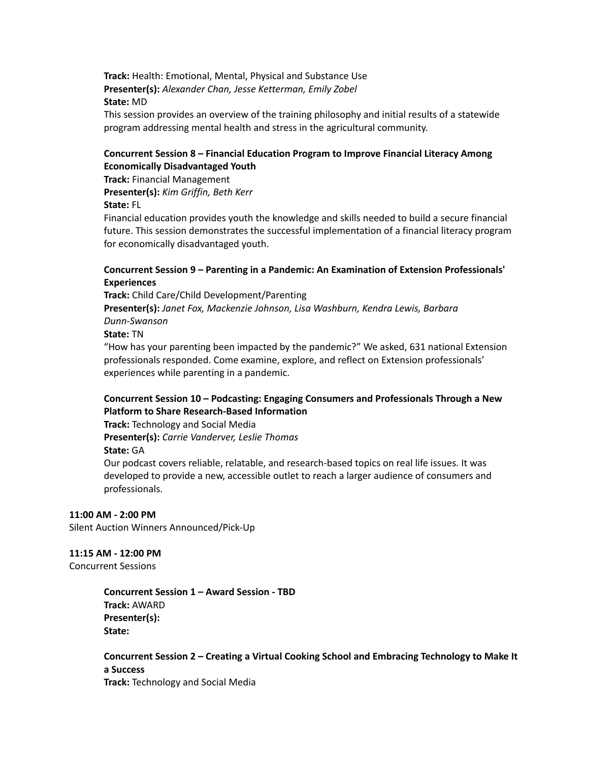**Track:** Health: Emotional, Mental, Physical and Substance Use **Presenter(s):** *Alexander Chan, Jesse Ketterman, Emily Zobel* **State:** MD

This session provides an overview of the training philosophy and initial results of a statewide program addressing mental health and stress in the agricultural community.

## **Concurrent Session 8 – Financial Education Program to Improve Financial Literacy Among Economically Disadvantaged Youth**

**Track:** Financial Management **Presenter(s):** *Kim Griffin, Beth Kerr*

**State:** FL

Financial education provides youth the knowledge and skills needed to build a secure financial future. This session demonstrates the successful implementation of a financial literacy program for economically disadvantaged youth.

## **Concurrent Session 9 – Parenting in a Pandemic: An Examination of Extension Professionals' Experiences**

**Track:** Child Care/Child Development/Parenting

**Presenter(s):** *Janet Fox, Mackenzie Johnson, Lisa Washburn, Kendra Lewis, Barbara Dunn-Swanson*

## **State:** TN

"How has your parenting been impacted by the pandemic?" We asked, 631 national Extension professionals responded. Come examine, explore, and reflect on Extension professionals' experiences while parenting in a pandemic.

## **Concurrent Session 10 – Podcasting: Engaging Consumers and Professionals Through a New Platform to Share Research-Based Information**

**Track:** Technology and Social Media

**Presenter(s):** *Carrie Vanderver, Leslie Thomas*

## **State:** GA

Our podcast covers reliable, relatable, and research-based topics on real life issues. It was developed to provide a new, accessible outlet to reach a larger audience of consumers and professionals.

## **11:00 AM - 2:00 PM**

Silent Auction Winners Announced/Pick-Up

## **11:15 AM - 12:00 PM**

Concurrent Sessions

**Concurrent Session 1 – Award Session - TBD Track:** AWARD **Presenter(s): State:**

## **Concurrent Session 2 – Creating a Virtual Cooking School and Embracing Technology to Make It a Success**

**Track:** Technology and Social Media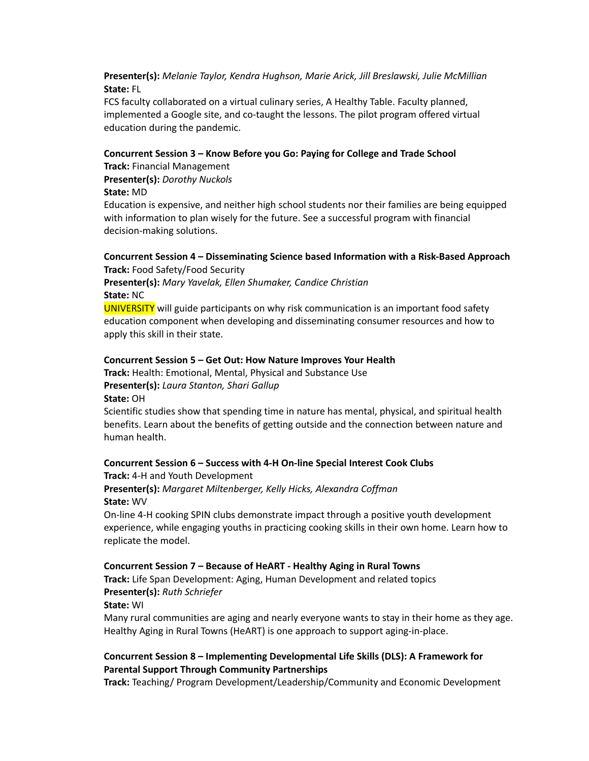## **Presenter(s):** *Melanie Taylor, Kendra Hughson, Marie Arick, Jill Breslawski, Julie McMillian* **State:** FL

FCS faculty collaborated on a virtual culinary series, A Healthy Table. Faculty planned, implemented a Google site, and co-taught the lessons. The pilot program offered virtual education during the pandemic.

#### **Concurrent Session 3 – Know Before you Go: Paying for College and Trade School**

**Track:** Financial Management

**Presenter(s):** *Dorothy Nuckols*

**State:** MD

Education is expensive, and neither high school students nor their families are being equipped with information to plan wisely for the future. See a successful program with financial decision-making solutions.

### **Concurrent Session 4 – Disseminating Science based Information with a Risk-Based Approach Track:** Food Safety/Food Security

**Presenter(s):** *Mary Yavelak, Ellen Shumaker, Candice Christian* **State:** NC

UNIVERSITY will guide participants on why risk communication is an important food safety education component when developing and disseminating consumer resources and how to apply this skill in their state.

#### **Concurrent Session 5 – Get Out: How Nature Improves Your Health**

**Track:** Health: Emotional, Mental, Physical and Substance Use **Presenter(s):** *Laura Stanton, Shari Gallup* **State:** OH

Scientific studies show that spending time in nature has mental, physical, and spiritual health benefits. Learn about the benefits of getting outside and the connection between nature and human health.

## **Concurrent Session 6 – Success with 4-H On-line Special Interest Cook Clubs**

**Track:** 4-H and Youth Development **Presenter(s):** *Margaret Miltenberger, Kelly Hicks, Alexandra Coffman* **State:** WV

On-line 4-H cooking SPIN clubs demonstrate impact through a positive youth development experience, while engaging youths in practicing cooking skills in their own home. Learn how to replicate the model.

#### **Concurrent Session 7 – Because of HeART - Healthy Aging in Rural Towns**

**Track:** Life Span Development: Aging, Human Development and related topics **Presenter(s):** *Ruth Schriefer*

**State:** WI

Many rural communities are aging and nearly everyone wants to stay in their home as they age. Healthy Aging in Rural Towns (HeART) is one approach to support aging-in-place.

## **Concurrent Session 8 – Implementing Developmental Life Skills (DLS): A Framework for Parental Support Through Community Partnerships**

**Track:** Teaching/ Program Development/Leadership/Community and Economic Development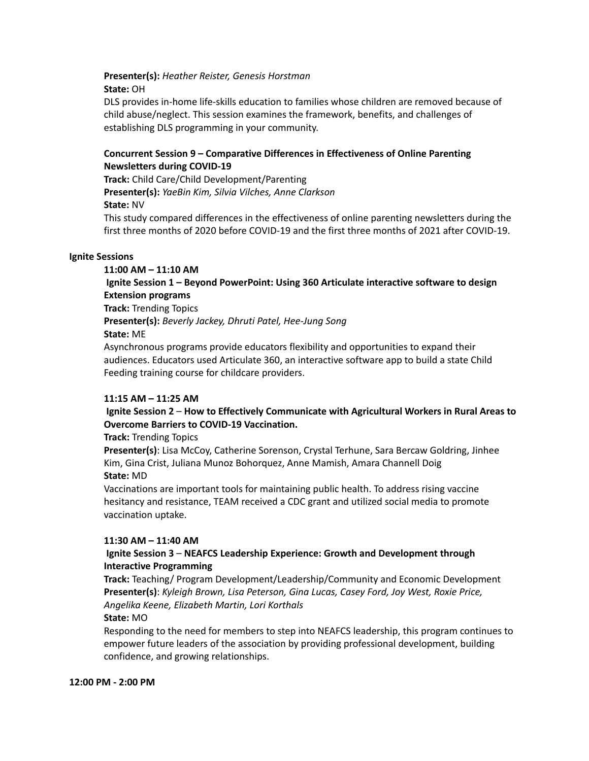## **Presenter(s):** *Heather Reister, Genesis Horstman* **State:** OH

DLS provides in-home life-skills education to families whose children are removed because of child abuse/neglect. This session examines the framework, benefits, and challenges of establishing DLS programming in your community.

## **Concurrent Session 9 – Comparative Differences in Effectiveness of Online Parenting Newsletters during COVID-19**

**Track:** Child Care/Child Development/Parenting **Presenter(s):** *YaeBin Kim, Silvia Vilches, Anne Clarkson* **State:** NV

This study compared differences in the effectiveness of online parenting newsletters during the first three months of 2020 before COVID-19 and the first three months of 2021 after COVID-19.

## **Ignite Sessions**

## **11:00 AM – 11:10 AM**

## **Ignite Session 1 – Beyond PowerPoint: Using 360 Articulate interactive software to design Extension programs**

**Track:** Trending Topics

**Presenter(s):** *Beverly Jackey, Dhruti Patel, Hee-Jung Song*

## **State:** ME

Asynchronous programs provide educators flexibility and opportunities to expand their audiences. Educators used Articulate 360, an interactive software app to build a state Child Feeding training course for childcare providers.

## **11:15 AM – 11:25 AM**

## **Ignite Session 2** – **How to Effectively Communicate with Agricultural Workers in Rural Areas to Overcome Barriers to COVID-19 Vaccination.**

## **Track:** Trending Topics

**Presenter(s)**: Lisa McCoy, Catherine Sorenson, Crystal Terhune, Sara Bercaw Goldring, Jinhee Kim, Gina Crist, Juliana Munoz Bohorquez, Anne Mamish, Amara Channell Doig **State:** MD

Vaccinations are important tools for maintaining public health. To address rising vaccine hesitancy and resistance, TEAM received a CDC grant and utilized social media to promote vaccination uptake.

## **11:30 AM – 11:40 AM**

## **Ignite Session 3** – **NEAFCS Leadership Experience: Growth and Development through Interactive Programming**

**Track:** Teaching/ Program Development/Leadership/Community and Economic Development **Presenter(s)**: *Kyleigh Brown, Lisa Peterson, Gina Lucas, Casey Ford, Joy West, Roxie Price, Angelika Keene, Elizabeth Martin, Lori Korthals*

## **State:** MO

Responding to the need for members to step into NEAFCS leadership, this program continues to empower future leaders of the association by providing professional development, building confidence, and growing relationships.

#### **12:00 PM - 2:00 PM**